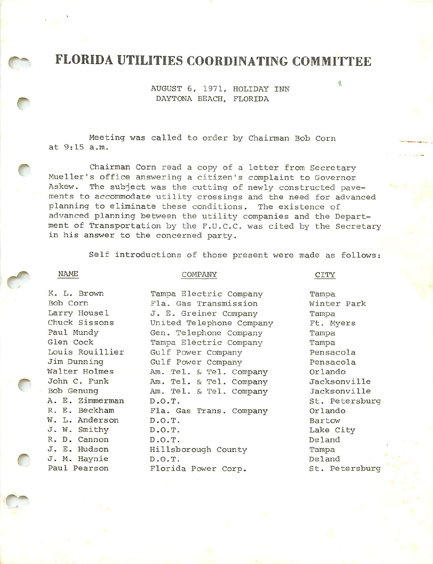# FLORIDA UTILITIES COORDINATING COMMITTEE

AUGUST 6, 1971, HOLIDAY INN DAYTONA BEACH, FLORIDA

Meeting was called to order by Chairman Bob Corn at 9:15 a.m.

Chairman Corn read a copy of a letter from Secretary Mueller's office answering a citizen's complaint to Governor Askew. The subject was the cutting of newly constructed pavements to accommodate utility crossings and the need for advanced planning to eliminate these conditions. The existence of advanced planning between the utility companies and the Depart ment of Transportation by the F.u.C.C. was cited by the Secretary in his answer to the concerned party.

Self introductions of those present were made as follows:

NAME COMPANY COMPANY CITY

産

K. L. Brown Tampa Electric Company Tampa

Bob Corn Fla. Gas Transmission Winter Park Larry Housel J. E. Greiner Company Tampa Chuck Sissons United Telephone Company Ft. Myers Paul Mundy Gen. Telephone Company Tampa Glen Cock Tampa Electric Company Tampa Louis Rouillier Gulf Power Company 1997 Pensacola Jim Dunning Gulf Power Company Pensacola Walter Holmes Am. Tel. & Tel. Company Orlando John C. Funk Am. Tel. & Tel. Company Jacksonville Bob Genung Am. Tel. & Tel. Company Jacksonville A. E. Zimmerman D.O.T.<br>R. E. Beckham Fla. Gas Trans. Company Orlando Fla. Gas Trans. Company Orlando W. L. Anderson D.O.T. **Bartow** J. W. Smithy D.O.T. Lake City R. D. Cannon D.O.T. Deland J. E. Hudson Hillsborough County Tampa J. M. Haynie D.O.T. Deland Paul Pearson Florida Power Corp. St. Petersburg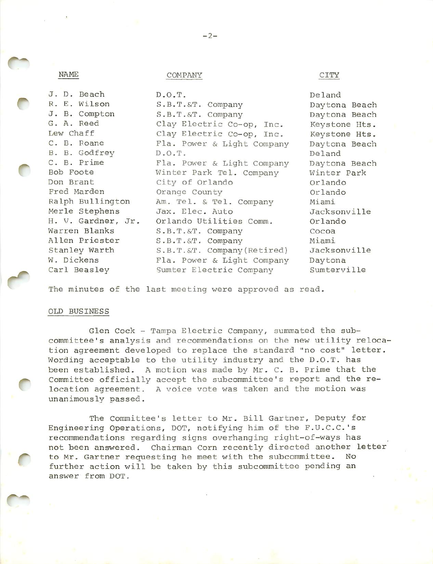|  | w |  |
|--|---|--|

# NAME COMPANY COMPANY

| J. D. Beach        | D.O.T.                      | Deland             |
|--------------------|-----------------------------|--------------------|
| R. E. Wilson       | S.B.T.&T. Company           | Daytona Bea        |
| J. B. Compton      | S.B.T.&T. Company           | Daytona Bea        |
| G. A. Reed         | Clay Electric Co-op, Inc.   | Keystone Ht        |
| Lew Chaff          | Clay Electric Co-op, Inc.   | Keystone Ht        |
| C. B. Roane        | Fla. Power & Light Company  | Daytona Bea        |
| B. B. Godfrey      | D.O.T.                      | Deland             |
| C. B. Prime        | Fla. Power & Light Company  | Daytona Bea        |
| Bob Foote          | Winter Park Tel. Company    | Winter Park        |
| Don Brant          | City of Orlando             | Orlando            |
| Fred Marden        | Orange County               | Orlando            |
| Ralph Bullington   | Am. Tel. & Tel. Company     | Miami              |
| Merle Stephens     | Jax. Elec. Auto             | <b>Jacksonvill</b> |
| H. V. Gardner, Jr. | Orlando Utilities Comm.     | Orlando            |
| Warren Blanks      | S.B.T.&T. Company           | Cocoa              |
| Allen Priester     | S.B.T.&T. Company           | Miami              |
| Stanley Warth      | S.B.T.&T. Company (Retired) | Jacksonvill        |
| W. Dickens         | Fla. Power & Light Company  | Daytona            |
| Carl Beasley       | Sumter Electric Company     | Sumterville        |

Daytona Beach Daytona Beach Keystone Hts. Keystone Hts. Daytona Beach Daytona Beach Winter Park Jacksonville Jacksonville

The minutes of the last meeting were approved as read.

## OLD BUSINESS

Glen Cock - Tampa Electric Company, summated the subcommittee's analysis and recommendations on the new utility reloca tion agreement developed to replace the standard "no cost" letter. Wording acceptable to the utility industry and the D.O.T. has been established. A motion was made by Mr. C. B. Prime that the Committee officially accept the subcommittee's report and the re location agreement. A voice vote was taken and the motion was unanimously passed.

The Committee's letter to Mr. Bill Gartner, Deputy for Engineering Operations, DOT, notifying him of the F.U.C.C.'s recommendations regarding signs overhanging right-of-ways has not been answered. Chairman Corn recently directed another letter to Mr. Gartner requesting he meet with the subcommittee. No further action will be taken by this subcommittee pending an answer from DOT.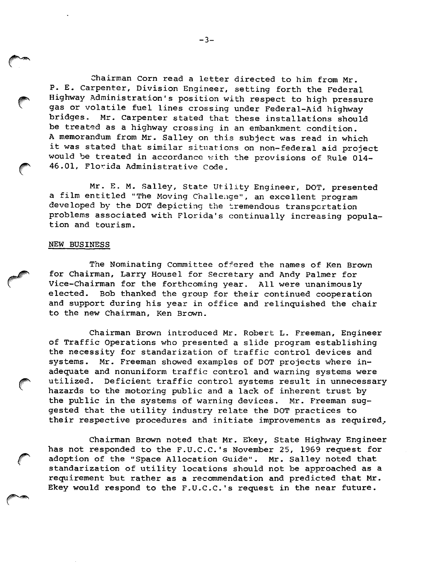Chairman Corn read a Letter directed to him from Mr. P. E. Carpenter, Division Engineer, setting forth the Federal Highway Administration's position with respect to high pressure gas or volatile fuel lines crossing under Federal—Aid highway bridges. Mr. Carpenter stated that these installations should be treated as a highway crossing in an embankment condition. A memorandum from Mr. Salley on this subject was read in which it was stated that similar situations on non-federal aid project would be treated in accordance with the provisions of Rule 014- 46.01, Florida Administrative Code.

Mr. E. M. Salley, State Utility Engineer, DOT, presented a film entitled "The Moving Challenge", an excellent program developed by the DOT depicting the tremendous transportation problems associated with Florida's continually increasing popula tion and tourism.

### NEW BUSINESS

The Nominating Committee offered the names of Ken Brown for Chairman, Larry Housel for Secretary and Andy Palmer for Vice-chairman for the forthcoming year. All were unanimously elected. Bob thanked the group for their continued cooperation and support during his year in office and relinquished the chair to the new Chairman, Ken Brown.

Chairman Brown introduced Mr. Robert L. Freeman, Engineer of Traffic Operations who presented a slide program establishing the necessity for standarization of traffic control devices and systems. Mr. Freeman showed examples of DOT projects where in adequate and nonuniform traffic control and warning systems were utilized. Deficient traffic control systems result in unnecessary hazards to the motoring public and a lack of inherent trust by the public in the systems of warning devices. Mr. Freeman suggested that the utility industry relate the DOT practices to their respective procedures and initiate improvements as required,.

Chairman Brown noted that Mr. Ekey, State Highway Engineer has not responded to the F.U.C.C.'s November 25, 1969 request for adoption of the "Space Allocation Guide". Mr. Salley noted that standarization of utility locations should not be approached as a requirement but rather as a recommendation and predicted that Mr. Ekey would respond to the F.U.C.C.'s request in the near future.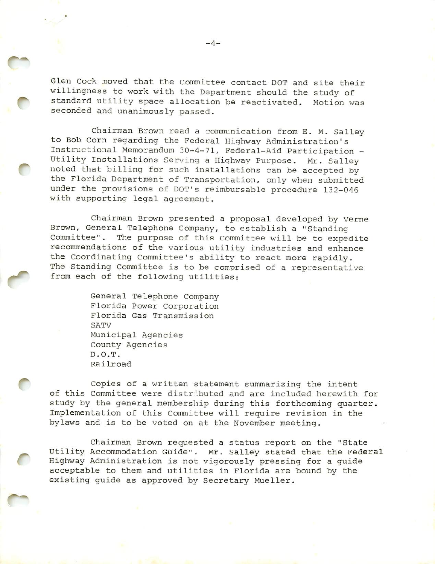Glen Cock moved that the Committee contact DOT and site their willingness to work with the Department should the study of standard utility space allocation be reactivated. Motion was seconded and unanimously passed.

Chairman Brown read a communication from E. M. Salley to Bob Corn regarding the Federal Highway Administration's Instructional Memorandum 30-4-71, Federal-Aid Participation - Utility Installations Serving a Highway Purpose. Mr. Salley noted that billing for such installations can be accepted by the Florida Department of Transportation, only when submitted under the provisions of DOT'S reimbursable procedure 132-046 with supporting legal agreement.

Chairman Brown presented a proposal developed by Verne Brown, General Telephone Company, to establish a "Standing Committee". The purpose of this Committee will be to expedite recommendations of the various utility industries and enhance the Coordinating Committee's ability to react more rapidly. The Standing Committee is to be comprised of a representative from each of the following utilities:

> General Telephone company Florida Power Corporation Florida Gas Transmission SATV Municipal Agencies County Agencies D.O.T. Railroad

Copies of a written statement summarizing the intent of this Committee were distr'.buted and are included herewith for study by the general membership during this forthcoming quarter. Implementation of this Committee will require revision in the bylaws and is to be voted on at the November meeting.

Chairman Brown requested a status report on the "State Utility Accommodation Guide". Mr. Salley stated that the Federal Highway Administration is not vigorously pressing for a guide acceptable to them and utilities in Florida are bound by the existing guide as approved by Secretary Mueller.